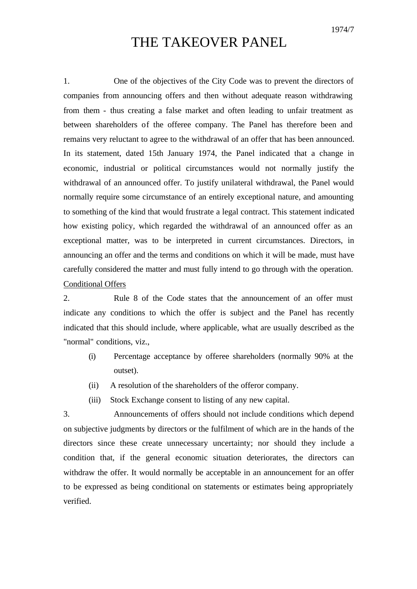1974/7

## THE TAKEOVER PANEL

1. One of the objectives of the City Code was to prevent the directors of companies from announcing offers and then without adequate reason withdrawing from them - thus creating a false market and often leading to unfair treatment as between shareholders of the offeree company. The Panel has therefore been and remains very reluctant to agree to the withdrawal of an offer that has been announced. In its statement, dated 15th January 1974, the Panel indicated that a change in economic, industrial or political circumstances would not normally justify the withdrawal of an announced offer. To justify unilateral withdrawal, the Panel would normally require some circumstance of an entirely exceptional nature, and amounting to something of the kind that would frustrate a legal contract. This statement indicated how existing policy, which regarded the withdrawal of an announced offer as an exceptional matter, was to be interpreted in current circumstances. Directors, in announcing an offer and the terms and conditions on which it will be made, must have carefully considered the matter and must fully intend to go through with the operation. Conditional Offers

2. Rule 8 of the Code states that the announcement of an offer must indicate any conditions to which the offer is subject and the Panel has recently indicated that this should include, where applicable, what are usually described as the "normal" conditions, viz.,

- (i) Percentage acceptance by offeree shareholders (normally 90% at the outset).
- (ii) A resolution of the shareholders of the offeror company.
- (iii) Stock Exchange consent to listing of any new capital.

3. Announcements of offers should not include conditions which depend on subjective judgments by directors or the fulfilment of which are in the hands of the directors since these create unnecessary uncertainty; nor should they include a condition that, if the general economic situation deteriorates, the directors can withdraw the offer. It would normally be acceptable in an announcement for an offer to be expressed as being conditional on statements or estimates being appropriately verified.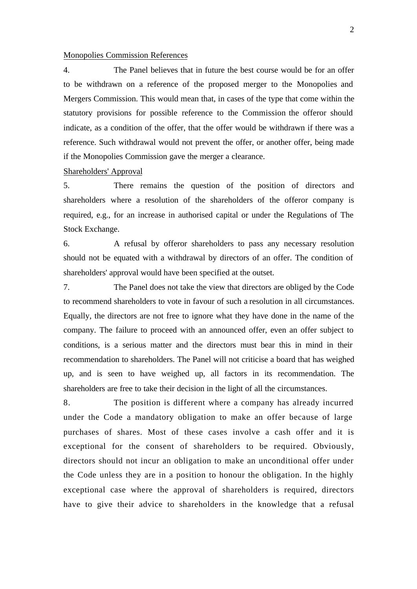## Monopolies Commission References

4. The Panel believes that in future the best course would be for an offer to be withdrawn on a reference of the proposed merger to the Monopolies and Mergers Commission. This would mean that, in cases of the type that come within the statutory provisions for possible reference to the Commission the offeror should indicate, as a condition of the offer, that the offer would be withdrawn if there was a reference. Such withdrawal would not prevent the offer, or another offer, being made if the Monopolies Commission gave the merger a clearance.

Shareholders' Approval

5. There remains the question of the position of directors and shareholders where a resolution of the shareholders of the offeror company is required, e.g., for an increase in authorised capital or under the Regulations of The Stock Exchange.

6. A refusal by offeror shareholders to pass any necessary resolution should not be equated with a withdrawal by directors of an offer. The condition of shareholders' approval would have been specified at the outset.

7. The Panel does not take the view that directors are obliged by the Code to recommend shareholders to vote in favour of such a resolution in all circumstances. Equally, the directors are not free to ignore what they have done in the name of the company. The failure to proceed with an announced offer, even an offer subject to conditions, is a serious matter and the directors must bear this in mind in their recommendation to shareholders. The Panel will not criticise a board that has weighed up, and is seen to have weighed up, all factors in its recommendation. The shareholders are free to take their decision in the light of all the circumstances.

8. The position is different where a company has already incurred under the Code a mandatory obligation to make an offer because of large purchases of shares. Most of these cases involve a cash offer and it is exceptional for the consent of shareholders to be required. Obviously, directors should not incur an obligation to make an unconditional offer under the Code unless they are in a position to honour the obligation. In the highly exceptional case where the approval of shareholders is required, directors have to give their advice to shareholders in the knowledge that a refusal